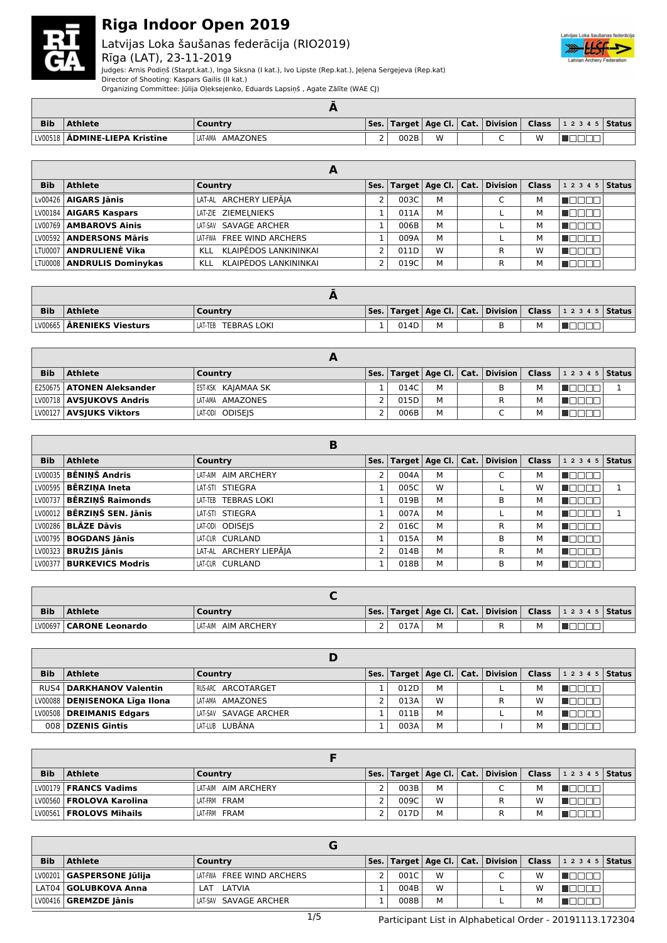

### Latvijas Loka šaušanas federācija (RIO2019) Rīga (LAT), 23-11-2019



Judges: Arnis Podiņš (Starpt.kat.), Inga Siksna (I kat.), Ivo Lipste (Rep.kat.), Jeļena Sergejeva (Rep.kat)

Director of Shooting: Kaspars Gailis (II kat.)

Organizing Committee: Jūlija Oļeksejenko, Eduards Lapsiņš , Agate Zālīte (WAE CJ)

| <b>Bib</b> | <b>Athlete</b>        | Country             |          |      |   |   |   | Ses.   Target   Age Cl.   Cat.   Division   Class   1 2 3 4 5   Status |  |
|------------|-----------------------|---------------------|----------|------|---|---|---|------------------------------------------------------------------------|--|
| LV00518    | ADMINE-LIEPA Kristīne | AMAZONES<br>LAT-AMA | <u>.</u> | 002B | W | ∽ | W |                                                                        |  |

|            |                                  | А                         |      |   |                                                                                         |   |                          |  |
|------------|----------------------------------|---------------------------|------|---|-----------------------------------------------------------------------------------------|---|--------------------------|--|
| <b>Bib</b> | <b>Athlete</b>                   | Country                   |      |   | $\mathsf{Ses.}\vert$ Target $\vert$ Age Cl. $\vert$ Cat. $\vert$ Division $\vert$ Class |   | $1\;2\;3\;4\;5$   Status |  |
|            | $\lfloor$ Lv00426   AIGARS Jānis | LAT-AL ARCHERY LIEPĀJA    | 003C | м |                                                                                         |   |                          |  |
|            | LV00184   AIGARS Kaspars         | LAT-ZIE ZIEMELNIEKS       | 011A | м |                                                                                         | М | HELL ELL                 |  |
|            | LV00769   AMBAROVS Ainis         | LAT-SAV SAVAGE ARCHER     | 006B | M |                                                                                         | м |                          |  |
|            | LV00592   ANDERSONS Māris        | LAT-FWA FREE WIND ARCHERS | 009A | M |                                                                                         | м | لالاتالا                 |  |
|            | LTU0007 <b>  ANDRULIENĖ Vika</b> | KLL KLAIPĖDOS LANKININKAI | 011D | W | R                                                                                       | w | IUUUL                    |  |
|            | LTU0008   ANDRULIS Dominykas     | KLL KLAIPĖDOS LANKININKAI | 019C | M | R                                                                                       |   |                          |  |

| <b>Bib</b> | Athlete                            | Country                       |      |  |  | Ses.   Target   Age Cl.   Cat.   Division   Class   1 2 3 4 5   Status |  |
|------------|------------------------------------|-------------------------------|------|--|--|------------------------------------------------------------------------|--|
|            | LV00665   <b>ĀRENIEKS Viesturs</b> | <b>TEBRAS LOKI</b><br>LAT-TEB | 014D |  |  |                                                                        |  |

| <b>Bib</b> | <b>Athlete</b>                    | Country            |      |   |  |   | Ses.   Target   Age Cl.   Cat.   Division   Class   1 2 3 4 5   Status |  |
|------------|-----------------------------------|--------------------|------|---|--|---|------------------------------------------------------------------------|--|
|            | E250675   ATONEN Aleksander       | EST-KSK KAJAMAA SK | 014C | М |  | м |                                                                        |  |
|            | LV00718   <b>AVSJUKOVS Andris</b> | LAT-AMA AMAZONES   | 015D | M |  |   |                                                                        |  |
|            | LV00127   AVSJUKS Viktors         | LAT-ODI ODISEIS    | 006B | M |  | м |                                                                        |  |

|            |                               | в                      |                |      |   |                                    |              |         |        |
|------------|-------------------------------|------------------------|----------------|------|---|------------------------------------|--------------|---------|--------|
| <b>Bib</b> | <b>Athlete</b>                | Country                | Ses.           |      |   | Target   Age Cl.   Cat.   Division | <b>Class</b> | 12345   | Status |
| LV00035    | <b>BĒNINŠ Andris</b>          | AIM ARCHERY<br>LAT-AIM | $\overline{2}$ | 004A | M |                                    | М            |         |        |
| LV00595    | <b>BĒRZINA Ineta</b>          | LAT-STI STIEGRA        |                | 005C | W |                                    | W            |         |        |
|            | LV00737   BĒRZINŠ Raimonds    | LAT-TEB TEBRAS LOKI    |                | 019B | M | B                                  | М            |         |        |
|            | LV00012 BĒRZINŠ SEN. Jānis    | LAT-STI STIEGRA        |                | 007A | M |                                    | М            |         |        |
|            | LV00286   BLĀZE Dāvis         | LAT-ODI ODISEIS        | $\mathcal{P}$  | 016C | M | R                                  | М            | ─────── |        |
|            | LV00795   BOGDANS Jānis       | LAT-CUR CURLAND        |                | 015A | М | в                                  | М            | חרו     |        |
|            | $\text{LV00323}$ BRUŽIS Jānis | LAT-AL ARCHERY LIEPĀJA | $\mathcal{P}$  | 014B | м | R                                  | м            | ╦       |        |
|            | LV00377   BURKEVICS Modris    | LAT-CUR CURLAND        |                | 018B | М | В                                  | м            | ┱       |        |

| <b>Bib</b> | <b>Athlete</b>            | Country                |   |      |   |  |   | Ses.   Target   Age Cl.   Cat.   Division   Class   1 2 3 4 5   Status |  |
|------------|---------------------------|------------------------|---|------|---|--|---|------------------------------------------------------------------------|--|
|            | LV00697   CARONE Leonardo | LAT-AIM<br>AIM ARCHERY | - | 017A | M |  | м |                                                                        |  |

| <b>Bib</b> | Athlete                          | Country               |      |   | Ses.   Target   Age Cl.   Cat.   Division   Class |   | $12345$ Status |  |
|------------|----------------------------------|-----------------------|------|---|---------------------------------------------------|---|----------------|--|
|            | <b>RUS4   DARKHANOV Valentin</b> | I RUS-ARC ARCOTARGET  | 012D | M |                                                   |   |                |  |
|            | LV00088   DENISENOKA Līga Ilona  | LAT-AMA AMAZONES      | 013A | W |                                                   | w |                |  |
|            | LV00508   DREIMANIS Edgars       | LAT-SAV SAVAGE ARCHER | 011B | M |                                                   |   |                |  |
|            | 008 DZENIS Gintis                | LAT-LUB LUBĀNA        | 003A | M |                                                   |   |                |  |

| <b>Bib</b> | <b>Athlete</b>             | Country             |      |   |  |   | Ses.   Target   Age Cl.   Cat.   Division   Class   1 2 3 4 5   Status |
|------------|----------------------------|---------------------|------|---|--|---|------------------------------------------------------------------------|
|            | LV00179   FRANCS Vadims    | LAT-AIM AIM ARCHERY | 003B | м |  | м |                                                                        |
|            | LV00560   FROLOVA Karolina | LAT-FRM FRAM        | 009C | W |  | W |                                                                        |
|            | LV00561   FROLOVS Mihails  | LAT-FRM FRAM        | 017D | M |  | M |                                                                        |

| <b>Bib</b> | <b>Athlete</b>              | Country                   |      |   |  |   | Ses.   Target   Age Cl.   Cat.   Division   Class   1 2 3 4 5   Status |  |
|------------|-----------------------------|---------------------------|------|---|--|---|------------------------------------------------------------------------|--|
|            | LV00201   GASPERSONE Jūlija | LAT-FWA FREE WIND ARCHERS | 001C | W |  | W |                                                                        |  |
|            | LAT04   GOLUBKOVA Anna      | LAT LATVIA                | 004B | W |  | w |                                                                        |  |
|            | $LV00416$ GREMZDE Janis     | LAT-SAV SAVAGE ARCHER     | 008B | М |  | M |                                                                        |  |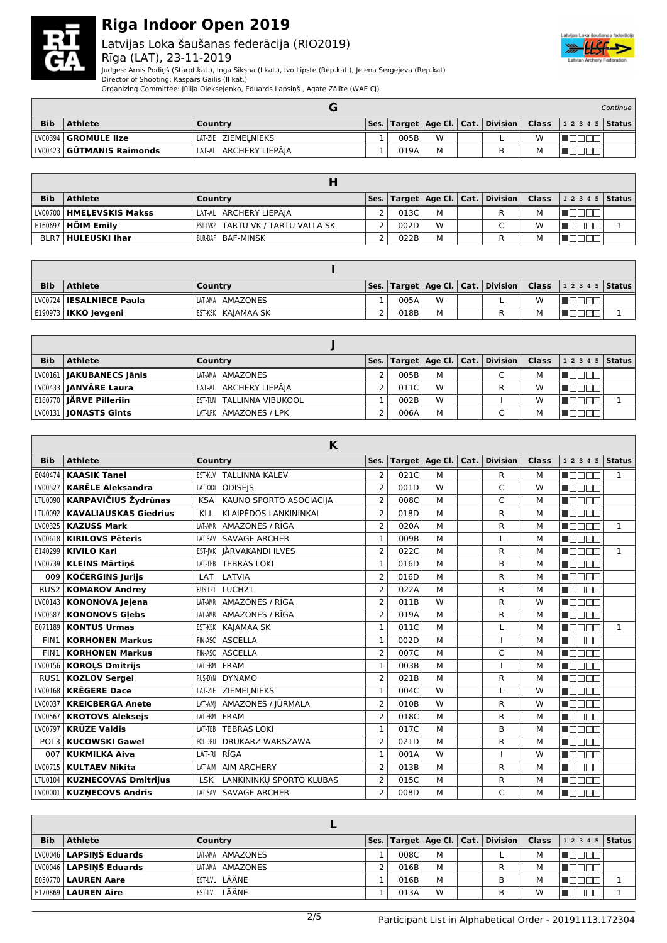

### Latvijas Loka šaušanas federācija (RIO2019) Rīga (LAT), 23-11-2019



Judges: Arnis Podiņš (Starpt.kat.), Inga Siksna (I kat.), Ivo Lipste (Rep.kat.), Jeļena Sergejeva (Rep.kat)

Director of Shooting: Kaspars Gailis (II kat.)

Organizing Committee: Jūlija Oļeksejenko, Eduards Lapsiņš , Agate Zālīte (WAE CJ)

|            |                             |                        |      |   |  |   |                                                                        | Continue I |
|------------|-----------------------------|------------------------|------|---|--|---|------------------------------------------------------------------------|------------|
| <b>Bib</b> | <b>Athlete</b>              | Country                |      |   |  |   | Ses.   Target   Age Cl.   Cat.   Division   Class   1 2 3 4 5   Status |            |
|            | LV00394   GROMULE IIze      | LAT-ZIE ZIEMELNIEKS    | 005B | W |  | w |                                                                        |            |
|            | LV00423   GUTMANIS Raimonds | LAT-AL ARCHERY LIEPAJA | 019A |   |  | М |                                                                        |            |

| <b>Bib</b> | Athlete                     | Country                              |      |   | Ses.   Target   Age Cl.   Cat.   Division   Class |   | $12345$ Status |  |
|------------|-----------------------------|--------------------------------------|------|---|---------------------------------------------------|---|----------------|--|
|            | LV00700   HMELEVSKIS Makss  | LAT-AL ARCHERY LIEPĀJA               | 013C | М |                                                   | м |                |  |
|            | E160697 <b>  HÕIM Emilv</b> | I EST-TVK2 TARTU VK / TARTU VALLA SK | 002D | W |                                                   | W |                |  |
|            | <b>BLR7   HULEUSKI Ihar</b> | BLR-BAF BAF-MINSK                    | 022B | M |                                                   |   |                |  |

| <b>Bib</b> | <b>Athlete</b>                | Country            |      |   |  |   | Ses.   Target   Age Cl.   Cat.   Division   Class   1 2 3 4 5   Status |  |
|------------|-------------------------------|--------------------|------|---|--|---|------------------------------------------------------------------------|--|
|            | LV00724   IESALNIECE Paula    | LAT-AMA AMAZONES   | 005A | W |  | w |                                                                        |  |
|            | <b>E190973   IKKO Jevgeni</b> | EST-KSK KAJAMAA SK | 018B | M |  |   |                                                                        |  |

| <b>Bib</b> | <b>Athlete</b>                 | Country                   |      |   | Ses.   Target   Age Cl.   Cat.   Division   Class |   | $12345$ Status |  |
|------------|--------------------------------|---------------------------|------|---|---------------------------------------------------|---|----------------|--|
|            | LV00161   JAKUBANECS Jānis     | LAT-AMA AMAZONES          | 005B | M | $\sqrt{2}$                                        | м |                |  |
|            | LV00433   JANVĀRE Laura        | LAT-AL ARCHERY LIEPĀJA    | 011C | W |                                                   | w |                |  |
|            | E180770 <b>JÄRVE Pilleriin</b> | EST-TLN TALLINNA VIBUKOOL | 002B | W |                                                   | W |                |  |
|            | LV00131   <b>JONASTS Gints</b> | LAT-LPK AMAZONES / LPK    | 006A | M |                                                   | м |                |  |

|                  | K                            |                                            |                |      |                  |      |                 |              |                    |               |  |  |
|------------------|------------------------------|--------------------------------------------|----------------|------|------------------|------|-----------------|--------------|--------------------|---------------|--|--|
| <b>Bib</b>       | <b>Athlete</b>               | Country                                    | Ses.           |      | Target   Age Cl. | Cat. | <b>Division</b> | <b>Class</b> | 1 2 3 4 5          | <b>Status</b> |  |  |
| E040474          | <b>KAASIK Tanel</b>          | <b>TALLINNA KALEV</b><br>EST-KLV           | 2              | 021C | М                |      | R               | М            | n mana             | $\mathbf{1}$  |  |  |
| LV00527          | <b>KARĒLE Aleksandra</b>     | <b>ODISEIS</b><br>LAT-ODI                  | $\overline{2}$ | 001D | W                |      | C               | W            | na an an           |               |  |  |
| LTU0090          | <b>KARPAVIČIUS Žydrūnas</b>  | KAUNO SPORTO ASOCIACIJA<br><b>KSA</b>      | $\overline{2}$ | 008C | M                |      | C               | М            | manan s            |               |  |  |
| LTU0092          | <b>KAVALIAUSKAS Giedrius</b> | <b>KLAIPĖDOS LANKININKAI</b><br><b>KLL</b> | $\overline{2}$ | 018D | M                |      | R               | M            | nnn                |               |  |  |
| LV00325          | <b>KAZUSS Mark</b>           | AMAZONES / RĪGA<br>I AT-AMR                | $\overline{2}$ | 020A | М                |      | R               | М            | $\Box \Box$<br>mm. | $\mathbf{1}$  |  |  |
| LV00618          | <b>KIRILOVS Pēteris</b>      | <b>SAVAGE ARCHER</b><br>LAT-SAV            | $\mathbf{1}$   | 009B | M                |      | L               | M            | MA DI DI T         |               |  |  |
| E140299          | <b>KIVILO Karl</b>           | EST-IVK JÄRVAKANDI ILVES                   | $\overline{2}$ | 022C | M                |      | R               | М            | ППП<br>mm.         | $\mathbf{1}$  |  |  |
| LV00739          | <b>KLEINS Mārtinš</b>        | <b>TEBRAS LOKI</b><br>LAT-TEB              | $\mathbf{1}$   | 016D | М                |      | B               | м            | MA DE L            |               |  |  |
| 009              | <b>KOČERGINS Jurijs</b>      | LATVIA<br>LAT                              | $\overline{2}$ | 016D | M                |      | R.              | М            | MA TITLET          |               |  |  |
| RUS <sub>2</sub> | <b>KOMAROV Andrev</b>        | LUCH21<br>RUS-L21                          | $\overline{2}$ | 022A | М                |      | R               | М            | <b>RADOR</b>       |               |  |  |
| LV00143          | KONONOVA Jelena              | LAT-AMR AMAZONES / RĪGA                    | $\overline{2}$ | 011B | W                |      | R               | W            | MA DEL 1           |               |  |  |
| LV00587          | <b>KONONOVS Glebs</b>        | AMAZONES / RĪGA<br>LAT-AMR                 | $\overline{2}$ | 019A | M                |      | R.              | М            | MA DELL'           |               |  |  |
| E071189          | <b>KONTUS Urmas</b>          | EST-KSK KAJAMAA SK                         | $\mathbf{1}$   | 011C | M                |      |                 | М            | MA DI DI M         | $\mathbf{1}$  |  |  |
| FIN1             | <b>KORHONEN Markus</b>       | FIN-ASC ASCELLA                            | $\mathbf{1}$   | 002D | M                |      |                 | М            | n an Ba            |               |  |  |
| FIN1             | <b>KORHONEN Markus</b>       | FIN-ASC ASCELLA                            | $\overline{2}$ | 007C | М                |      | C               | М            | <b>RADAR</b>       |               |  |  |
| LV00156          | <b>KOROLS Dmitrijs</b>       | LAT-FRM FRAM                               | $\mathbf{1}$   | 003B | M                |      |                 | M            | <b>RADOR</b>       |               |  |  |
| RUS1             | <b>KOZLOV Sergei</b>         | RUS-DYN<br><b>DYNAMO</b>                   | $\overline{2}$ | 021B | M                |      | R               | М            | MA DI DI DI L      |               |  |  |
| LV00168          | <b>KREGERE Dace</b>          | LAT-ZIE ZIEMELNIEKS                        | $\mathbf{1}$   | 004C | W                |      |                 | W            | <b>RADOR</b>       |               |  |  |
| LV00037          | <b>KREICBERGA Anete</b>      | AMAZONES / JŪRMALA<br>LAT-AMI              | $\overline{2}$ | 010B | W                |      | R               | W            | n Els Els          |               |  |  |
| LV00567          | <b>KROTOVS Aleksejs</b>      | LAT-FRM FRAM                               | $\overline{2}$ | 018C | М                |      | R               | М            | <b>RADOR</b>       |               |  |  |
| LV00797          | <b>KRÜZE Valdis</b>          | <b>TEBRAS LOKI</b><br><b>IAT-TFR</b>       | $\mathbf{1}$   | 017C | M                |      | B               | M            | manan s            |               |  |  |
| POL3             | <b>KUCOWSKI Gawel</b>        | DRUKARZ WARSZAWA<br>POL-DRU                | $\overline{2}$ | 021D | M                |      | R               | М            | <b>RADOR</b>       |               |  |  |
| 007              | <b>KUKMILKA Aiva</b>         | RĪGA<br>LAT-RI                             | $\mathbf{1}$   | 001A | W                |      |                 | W            | n Els Els          |               |  |  |
| LV00715          | <b>KULTAEV Nikita</b>        | <b>AIM ARCHERY</b><br>LAT-AIM              | 2              | 013B | M                |      | R               | M            | an na m            |               |  |  |
| LTU0104          | <b>KUZNECOVAS Dmitrijus</b>  | LANKININKU SPORTO KLUBAS<br><b>LSK</b>     | $\overline{2}$ | 015C | M                |      | R.              | M            | n minin            |               |  |  |
| LV00001          | <b>KUZNECOVS Andris</b>      | LAT-SAV SAVAGE ARCHER                      | $\overline{2}$ | 008D | M                |      | C               | м            | n de se            |               |  |  |

| <b>Bib</b> | <b>Athlete</b>            | Country          | Ses. |      |   | Target   Age Cl.   Cat.   Division   Class |   | $12345$ Status |  |
|------------|---------------------------|------------------|------|------|---|--------------------------------------------|---|----------------|--|
|            | LV00046   LAPSINŠ Eduards | LAT-AMA AMAZONES |      | 008C | M |                                            | м |                |  |
|            | LV00046   LAPSINŠ Eduards | LAT-AMA AMAZONES |      | 016B | M | R                                          | м |                |  |
|            | E050770   LAUREN Aare     | EST-LVL LÄÄNE    |      | 016B | м | В                                          | M |                |  |
|            | $E170869$ LAUREN Aire     | EST-LVL LÄÄNE    |      | 013A | W | В                                          | w |                |  |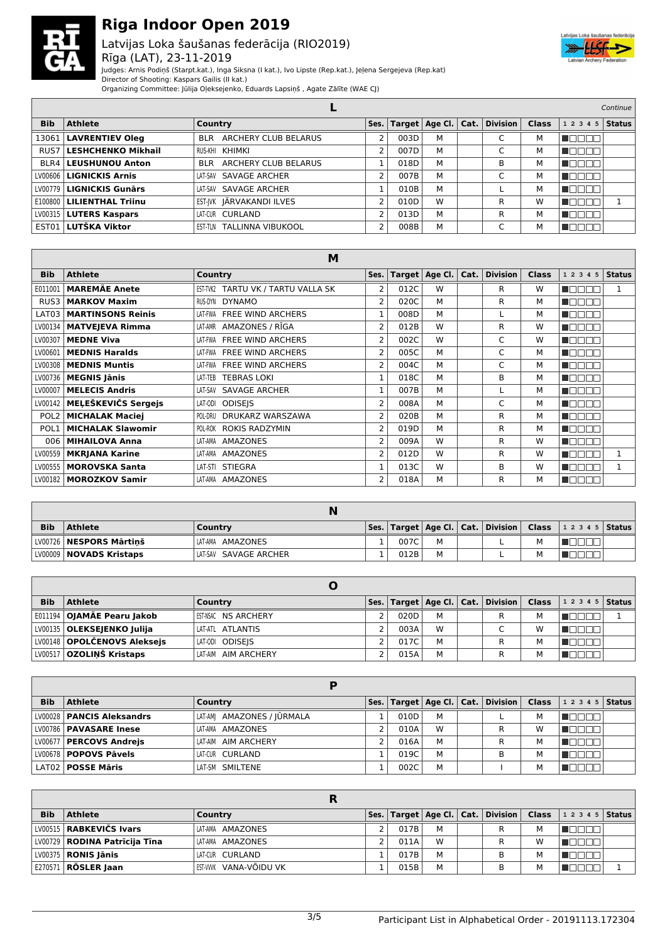

### Latvijas Loka šaušanas federācija (RIO2019) Rīga (LAT), 23-11-2019



Judges: Arnis Podiņš (Starpt.kat.), Inga Siksna (I kat.), Ivo Lipste (Rep.kat.), Jeļena Sergejeva (Rep.kat)

Director of Shooting: Kaspars Gailis (II kat.)

Organizing Committee: Jūlija Oļeksejenko, Eduards Lapsiņš , Agate Zālīte (WAE CJ)

|            |                                   |                                           |                |      |                        |              |                 |              | Continue  |               |
|------------|-----------------------------------|-------------------------------------------|----------------|------|------------------------|--------------|-----------------|--------------|-----------|---------------|
| <b>Bib</b> | <b>Athlete</b>                    | Country                                   | Ses.           |      | Target $ $ Age Cl. $ $ | $ $ Cat. $ $ | <b>Division</b> | <b>Class</b> | 1 2 3 4 5 | <b>Status</b> |
|            | 13061   LAVRENTIEV Oleg           | ARCHERY CLUB BELARUS<br><b>BLR</b>        |                | 003D | M                      |              |                 | м            |           |               |
|            | RUS7 LESHCHENKO Mikhail           | RUS-KHI KHIMKI                            | 2              | 007D | M                      |              |                 | м            |           |               |
|            | <b>BLR4   LEUSHUNOU Anton</b>     | <b>ARCHERY CLUB BELARUS</b><br><b>BLR</b> |                | 018D | M                      |              | B               | м            |           |               |
|            | LV00606   LIGNICKIS Arnis         | LAT-SAV SAVAGE ARCHER                     | 2              | 007B | M                      |              |                 | м            |           |               |
|            | LV00779 <b>  LIGNICKIS Gunārs</b> | LAT-SAV SAVAGE ARCHER                     |                | 010B | M                      |              |                 | м            |           |               |
|            | E100800   LILIENTHAL Triinu       | EST-IVK JÄRVAKANDI ILVES                  | $\overline{2}$ | 010D | W                      |              | R               | W            |           |               |
|            | LV00315   LUTERS Kaspars          | LAT-CUR CURLAND                           | 2              | 013D | M                      |              | R               | м            |           |               |
|            | <b>EST01 LUTŠKA Viktor</b>        | <b>EST-TLN TALLINNA VIBUKOOL</b>          | $\overline{2}$ | 008B | M                      |              | ⌒               | м            |           |               |

|                  | M                        |                                     |                |      |                  |      |                 |              |              |               |  |  |
|------------------|--------------------------|-------------------------------------|----------------|------|------------------|------|-----------------|--------------|--------------|---------------|--|--|
| <b>Bib</b>       | <b>Athlete</b>           | Country                             | Ses.           |      | Target   Age Cl. | Cat. | <b>Division</b> | <b>Class</b> | 1 2 3 4 5    | <b>Status</b> |  |  |
| E011001          | <b>MAREMÄE Anete</b>     | EST-TVK2 TARTU VK / TARTU VALLA SK  | 2              | 012C | W                |      | R               | W            | 800C         | 1             |  |  |
| RUS3             | <b>MARKOV Maxim</b>      | RUS-DYN<br><b>DYNAMO</b>            | 2              | 020C | M                |      | R               | м            | <b>HANA</b>  |               |  |  |
| LAT03            | <b>MARTINSONS Reinis</b> | <b>FREE WIND ARCHERS</b><br>LAT-FWA | 1              | 008D | M                |      |                 | м            | n de el el   |               |  |  |
| LV00134          | <b>MATVEJEVA Rimma</b>   | AMAZONES / RĪGA<br>LAT-AMR          | 2              | 012B | W                |      | R               | W            | n de e e     |               |  |  |
| LV00307          | <b>MEDNE Viva</b>        | <b>FREE WIND ARCHERS</b><br>LAT-FWA | 2              | 002C | W                |      | C               | W            | TOOOO        |               |  |  |
| LV00601          | <b>MEDNIS Haralds</b>    | <b>FREE WIND ARCHERS</b><br>LAT-FWA | 2              | 005C | М                |      | C               | М            | HELE I       |               |  |  |
| LV00308          | <b>MEDNIS Muntis</b>     | LAT-FWA FREE WIND ARCHERS           | 2              | 004C | М                |      | C               | м            | a kata ing P |               |  |  |
| LV00736          | <b>MEGNIS Jānis</b>      | <b>TEBRAS LOKI</b><br>LAT-TEB       |                | 018C | М                |      | B               | м            | TANAN        |               |  |  |
| LV00007          | <b>MELECIS Andris</b>    | LAT-SAV SAVAGE ARCHER               | $\mathbf{1}$   | 007B | М                |      |                 | м            | UN DELL'     |               |  |  |
| LV00142          | MELEŠKEVIČS Sergejs      | <b>ODISEIS</b><br>LAT-ODI           | 2              | 008A | М                |      | C               | м            | TET          |               |  |  |
| POL <sub>2</sub> | <b>MICHALAK Maciej</b>   | DRUKARZ WARSZAWA<br>POL-DRU         | 2              | 020B | М                |      | R               | м            | Maaaa        |               |  |  |
| POL1             | <b>MICHALAK Slawomir</b> | POL-ROK ROKIS RADZYMIN              | $\overline{2}$ | 019D | М                |      | R               | м            | n de e e     |               |  |  |
| 006 l            | <b>MIHAILOVA Anna</b>    | AMAZONES<br>LAT-AMA                 | 2              | 009A | W                |      | R               | W            | TEET         |               |  |  |
| LV00559          | <b>MKRJANA Karine</b>    | AMAZONES<br>LAT-AMA                 | 2              | 012D | W                |      | R               | W            |              |               |  |  |
| LV00555          | <b>MOROVSKA Santa</b>    | LAT-STI STIEGRA                     |                | 013C | W                |      | B               | W            |              |               |  |  |
|                  | LV00182   MOROZKOV Samir | LAT-AMA AMAZONES                    | 2              | 018A | М                |      | R               | м            | NOOO O       |               |  |  |

| <b>Bib</b> | <b>Athlete</b>            | Country               |  |      |   |  |  |  | Ses.   Target   Age Cl.   Cat.   Division   Class   1 2 3 4 5   Status |  |  |
|------------|---------------------------|-----------------------|--|------|---|--|--|--|------------------------------------------------------------------------|--|--|
|            | LV00726   NESPORS Mārtinš | LAT-AMA AMAZONES      |  | 007C | м |  |  |  |                                                                        |  |  |
|            | LV00009   NOVADS Kristaps | LAT-SAV SAVAGE ARCHER |  | 012B | М |  |  |  |                                                                        |  |  |

| <b>Bib</b> | <b>Athlete</b>                | Country             |      |   |  |   | Ses.   Target   Age Cl.   Cat.   Division   Class   1 2 3 4 5   Status |  |
|------------|-------------------------------|---------------------|------|---|--|---|------------------------------------------------------------------------|--|
|            | E011194   OJAMÄE Pearu Jakob  | EST-NSAC NS ARCHERY | 020D | м |  | м |                                                                        |  |
|            | LV00135   OLEKSEJENKO Julija  | LAT-ATL ATLANTIS    | 003A | W |  | w |                                                                        |  |
|            | LV00148   OPOLČENOVS Aleksejs | LAT-ODI ODISEIS     | 017C | M |  | м |                                                                        |  |
|            | LV00517   OZOLINŠ Kristaps    | LAT-AIM AIM ARCHERY | 015A | M |  | м |                                                                        |  |

| <b>Bib</b> | <b>Athlete</b>              | Country                    | Ses. |      |   | $\mid$ Target $\mid$ Age Cl. $\mid$ Cat. $\mid$ Division $\mid$ Class |   | $12345$ Status |  |
|------------|-----------------------------|----------------------------|------|------|---|-----------------------------------------------------------------------|---|----------------|--|
|            | LV00028   PANCIS Aleksandrs | LAT-AMI AMAZONES / JŪRMALA |      | 010D | м |                                                                       | м |                |  |
|            | LV00786   PAVASARE Inese    | LAT-AMA AMAZONES           |      | 010A | W | R                                                                     | w |                |  |
|            | LV00677   PERCOVS Andrejs   | LAT-AIM AIM ARCHERY        |      | 016A | М | R                                                                     | м |                |  |
|            | LV00678   POPOVS Pāvels     | LAT-CUR CURLAND            |      | 019C | М | R                                                                     | м |                |  |
|            | LAT02   POSSE Māris         | LAT-SM SMILTENE            |      | 002C | M |                                                                       | м |                |  |

| <b>Bib</b> | <b>Athlete</b>                  | Country               |      |   | Ses.   Target   Age Cl.   Cat.   Division   Class |   | $12345$ Status |  |
|------------|---------------------------------|-----------------------|------|---|---------------------------------------------------|---|----------------|--|
|            | LV00515   RABKEVIČS Ivars       | LAT-AMA AMAZONES      | 017B | M | R                                                 | м |                |  |
|            | LV00729   RODINA Patrīcija Tīna | LAT-AMA AMAZONES      | 011A | W | R                                                 | w |                |  |
|            | LV00375 <b>  RONIS Jānis</b>    | LAT-CUR CURLAND       | 017B | M | B                                                 | м |                |  |
|            | <b>E270571 RÖSLER Jaan</b>      | EST-WWK VANA-VÕIDU VK | 015B | M | B                                                 |   |                |  |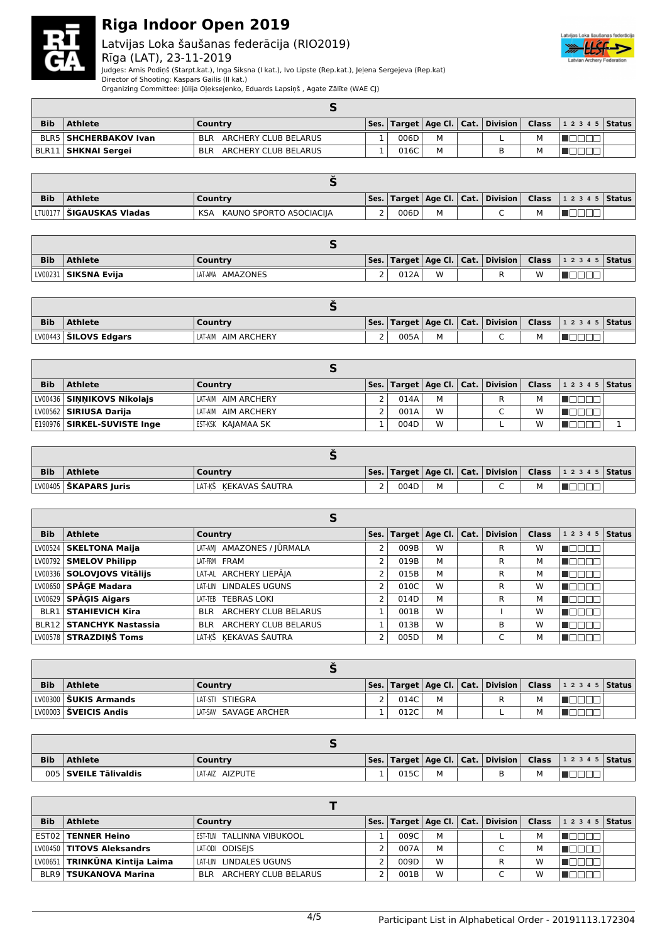

### Latvijas Loka šaušanas federācija (RIO2019) Rīga (LAT), 23-11-2019



Judges: Arnis Podiņš (Starpt.kat.), Inga Siksna (I kat.), Ivo Lipste (Rep.kat.), Jeļena Sergejeva (Rep.kat)

Director of Shooting: Kaspars Gailis (II kat.)

|  | Organizing Committee: Jūlija Oļeksejenko, Eduards Lapsiņš , Agate Zālīte (WAE CJ) |  |
|--|-----------------------------------------------------------------------------------|--|
|--|-----------------------------------------------------------------------------------|--|

| <b>Bib</b> | <b>Athlete</b>                 | Country                            |  |      |   |  |  |   | $\vert$ Ses. $\vert$ Target $\vert$ Age Cl. $\vert$ Cat. $\vert$ Division $\vert$ Class $\vert$ 1 2 3 4 5 $\vert$ Status $\vert$ |  |  |  |
|------------|--------------------------------|------------------------------------|--|------|---|--|--|---|----------------------------------------------------------------------------------------------------------------------------------|--|--|--|
|            | <b>BLR5   SHCHERBAKOV Ivan</b> | <b>BLR</b><br>ARCHERY CLUB BELARUS |  | 006D | м |  |  | M |                                                                                                                                  |  |  |  |
|            | BLR11 <b>  SHKNAI Sergei</b>   | ARCHERY CLUB BELARUS<br><b>BLR</b> |  | 016C |   |  |  | M |                                                                                                                                  |  |  |  |

| <b>Bib</b> | Athlete                           | Country                        |  |      |  |  |  |   | $\vert$ Ses.   Target   Age Cl.   Cat.   Division   Class   1 2 3 4 5   Status |  |  |
|------------|-----------------------------------|--------------------------------|--|------|--|--|--|---|--------------------------------------------------------------------------------|--|--|
|            | LTU0177   <b>ŠIGAUSKAS Vladas</b> | KAUNO SPORTO ASOCIACIIA<br>KSA |  | 006D |  |  |  | м |                                                                                |  |  |

| <b>Bib</b> | <b>Athlete</b>         | Country             |   |      |   |  |  |   | Ses.   Target   Age Cl.   Cat.   Division   Class   1 2 3 4 5   Status |  |
|------------|------------------------|---------------------|---|------|---|--|--|---|------------------------------------------------------------------------|--|
|            | LV00231   SIKSNA Evija | LAT-AMA<br>AMAZONES | - | 012A | W |  |  | w |                                                                        |  |

| <b>Bib</b> | <b>Athlete</b>                 | Country                |          |      |  |  |  |  | Ses.   Target   Age Cl.   Cat.   Division   Class   1 2 3 4 5   Status |  |
|------------|--------------------------------|------------------------|----------|------|--|--|--|--|------------------------------------------------------------------------|--|
|            | LV00443 <b>  ŠILOVS Edgars</b> | AIM ARCHERY<br>LAT-AIM | <u>.</u> | 005A |  |  |  |  |                                                                        |  |

| <b>Bib</b> | <b>Athlete</b>                | Country             |  |      |   |  | Ses.   Target   Age Cl.   Cat.   Division   Class |   | $12345$ Status |  |  |
|------------|-------------------------------|---------------------|--|------|---|--|---------------------------------------------------|---|----------------|--|--|
|            | LV00436 SINNIKOVS Nikolajs    | LAT-AIM AIM ARCHERY |  | 014A | M |  | R                                                 |   |                |  |  |
|            | LV00562   SIRIUSA Darija      | LAT-AIM AIM ARCHERY |  | 001A | W |  |                                                   | W |                |  |  |
|            | E190976   SIRKEL-SUVISTE Inge | EST-KSK KAJAMAA SK  |  | 004D | W |  |                                                   | W |                |  |  |

| <b>Bib</b> | <b>Athlete</b>          | Country               |  |      |   |  |  |   | Ses.   Target   Age Cl.   Cat.   Division   Class   1 2 3 4 5   Status |  |
|------------|-------------------------|-----------------------|--|------|---|--|--|---|------------------------------------------------------------------------|--|
|            | LV00405   ŠKAPARS Juris | LAT-KŠ KEKAVAS ŠAUTRA |  | 004D | М |  |  | м |                                                                        |  |

|            | Þ                               |                                           |                |      |                        |  |                 |              |           |               |  |
|------------|---------------------------------|-------------------------------------------|----------------|------|------------------------|--|-----------------|--------------|-----------|---------------|--|
| <b>Bib</b> | <b>Athlete</b>                  | Country                                   | Ses.           |      | Target $ $ Age Cl. $ $ |  | Cat.   Division | <b>Class</b> | 1 2 3 4 5 | <b>Status</b> |  |
|            | LV00524   SKELTONA Maija        | LAT-AM  AMAZONES / JŪRMALA                | $\overline{2}$ | 009B | W                      |  | R               | W            |           |               |  |
|            | LV00792   SMELOV Philipp        | LAT-FRM FRAM                              | $\overline{2}$ | 019B | M                      |  | R               | м            |           |               |  |
|            | LV00336   SOLOVJOVS Vitālijs    | LAT-AL ARCHERY LIEPĀJA                    | 2              | 015B | M                      |  | R               | м            |           |               |  |
|            | LV00650 SPĀGE Madara            | LAT-LIN LINDALES UGUNS                    | 2              | 010C | W                      |  | R               | W            |           |               |  |
|            | $LV00629$ SPAGIS Aigars         | <b>TEBRAS LOKI</b><br>LAT-TEB             | $\overline{2}$ | 014D | M                      |  | R               | м            |           |               |  |
|            | <b>BLR1 STAHIEVICH Kira</b>     | <b>ARCHERY CLUB BELARUS</b><br><b>BLR</b> |                | 001B | W                      |  |                 | W            |           |               |  |
|            | <b>BLR12 STANCHYK Nastassia</b> | ARCHERY CLUB BELARUS<br><b>BLR</b>        |                | 013B | W                      |  | В               | W            |           |               |  |
|            | LV00578 STRAZDINŠ Toms          | LAT-KŠ KEKAVAS ŠAUTRA                     | 2              | 005D | M                      |  |                 | м            |           |               |  |

| <b>Bib</b> | Athlete               | Country               |  |      |   |  |  |  | Ses.   Target   Age Cl.   Cat.   Division   Class   1 2 3 4 5   Status |  |
|------------|-----------------------|-----------------------|--|------|---|--|--|--|------------------------------------------------------------------------|--|
|            | LV00300 SUKIS Armands | LAT-STI STIEGRA       |  | 014C | M |  |  |  |                                                                        |  |
|            | LV00003 ŠVEICIS Andis | LAT-SAV SAVAGE ARCHER |  | 012C | M |  |  |  |                                                                        |  |

| <b>Bib</b> | <b>Athlete</b>        | Country         |     |      |  |  |  |  | Ses.   Target   Age Cl.   Cat.   Division   Class   1 2 3 4 5   Status |  |
|------------|-----------------------|-----------------|-----|------|--|--|--|--|------------------------------------------------------------------------|--|
|            | 005 SVEILE Tälivaldis | LAT-AIZ AIZPUTE | . . | 015C |  |  |  |  |                                                                        |  |

| <b>Bib</b> | <b>Athlete</b>                   | Country                            |  |      |   |  | Ses.   Target   Age Cl.   Cat.   Division   Class |   | $ 12345 $ Status |  |  |
|------------|----------------------------------|------------------------------------|--|------|---|--|---------------------------------------------------|---|------------------|--|--|
|            | EST02   TENNER Heino             | EST-TLN TALLINNA VIBUKOOL          |  | 009C | м |  |                                                   | М |                  |  |  |
|            | LV00450   TITOVS Aleksandrs      | LAT-ODI ODISEIS                    |  | 007A | м |  |                                                   | М |                  |  |  |
|            | LV00651   TRINKŪNA Kintija Laima | LAT-LIN LINDALES UGUNS             |  | 009D | W |  |                                                   | W |                  |  |  |
|            | <b>BLR9   TSUKANOVA Marina</b>   | ARCHERY CLUB BELARUS<br><b>BLR</b> |  | 001B | W |  |                                                   | w |                  |  |  |